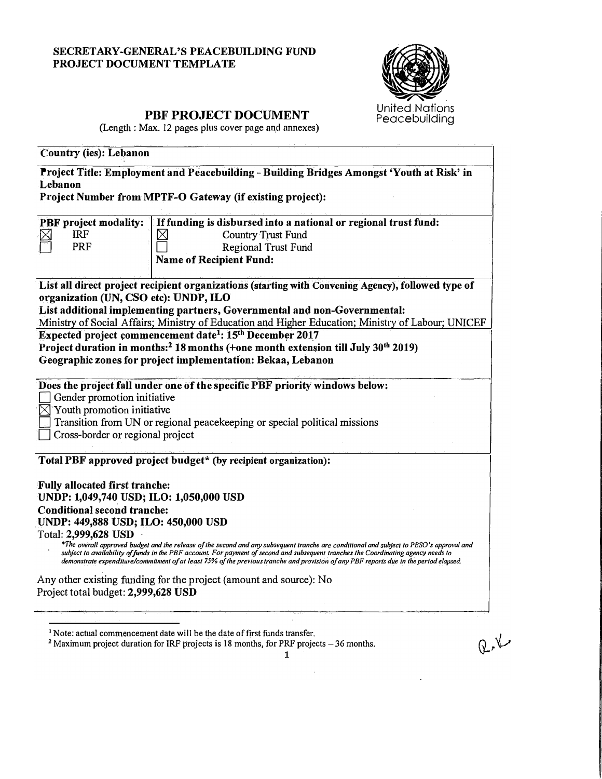## SECRETARY-GENERAL'S PEACEBUILDING FUND PROJECT DOCUMENT TEMPLATE



 $Q, V$ 

# PBF PROJECT DOCUMENT

(Length : Max. 12 pages plus cover page and annexes)

| <b>Country (ies): Lebanon</b><br>Project Title: Employment and Peacebuilding - Building Bridges Amongst 'Youth at Risk' in<br>Lebanon<br>Project Number from MPTF-O Gateway (if existing project):                                                                                                                                                                                                                                                                                                                                                                                                                                                                                    |  |  |  |  |
|---------------------------------------------------------------------------------------------------------------------------------------------------------------------------------------------------------------------------------------------------------------------------------------------------------------------------------------------------------------------------------------------------------------------------------------------------------------------------------------------------------------------------------------------------------------------------------------------------------------------------------------------------------------------------------------|--|--|--|--|
|                                                                                                                                                                                                                                                                                                                                                                                                                                                                                                                                                                                                                                                                                       |  |  |  |  |
| List all direct project recipient organizations (starting with Convening Agency), followed type of<br>organization (UN, CSO etc): UNDP, ILO<br>List additional implementing partners, Governmental and non-Governmental:<br>Ministry of Social Affairs; Ministry of Education and Higher Education; Ministry of Labour; UNICEF<br>Expected project commencement date <sup>1</sup> : 15 <sup>th</sup> December 2017<br>Project duration in months: <sup>2</sup> 18 months (+one month extension till July 30 <sup>th</sup> 2019)<br>Geographic zones for project implementation: Bekaa, Lebanon                                                                                        |  |  |  |  |
| Does the project fall under one of the specific PBF priority windows below:<br>Gender promotion initiative<br>Youth promotion initiative<br>Transition from UN or regional peacekeeping or special political missions<br>Cross-border or regional project                                                                                                                                                                                                                                                                                                                                                                                                                             |  |  |  |  |
| Total PBF approved project budget* (by recipient organization):<br><b>Fully allocated first tranche:</b><br>UNDP: 1,049,740 USD; ILO: 1,050,000 USD<br><b>Conditional second tranche:</b><br>UNDP: 449,888 USD; ILO: 450,000 USD<br>Total: 2,999,628 USD<br>*The overall approved budget and the release of the second and any subsequent tranche are conditional and subject to PBSO's approval and<br>subject to availability of funds in the PBF account. For payment of second and subsequent tranches the Coordinating agency needs to<br>demonstrate expenditure/commitment of at least 75% of the previous tranche and provision of any PBF reports due in the period elapsed. |  |  |  |  |
| Any other existing funding for the project (amount and source): No<br>Project total budget: 2,999,628 USD                                                                                                                                                                                                                                                                                                                                                                                                                                                                                                                                                                             |  |  |  |  |

 $2$  Maximum project duration for IRF projects is 18 months, for PRF projects  $-36$  months.

 $\mathbf{1}$ 

 $\bar{z}$ 

<sup>&</sup>lt;sup>1</sup> Note: actual commencement date will be the date of first funds transfer.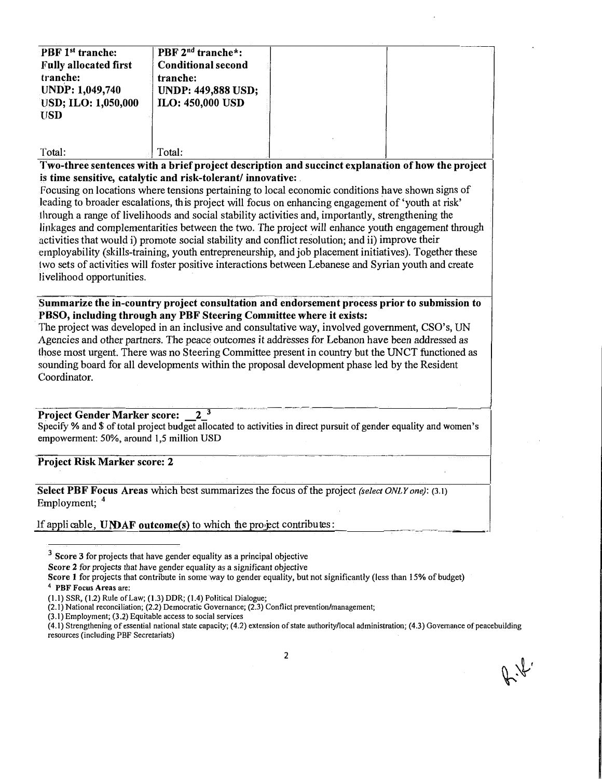| PBF 1 <sup>st</sup> tranche:<br><b>Fully allocated first</b><br>tranche:<br><b>UNDP: 1,049,740</b><br><b>USD; ILO: 1,050,000</b> | PBF 2 <sup>nd</sup> tranche*:<br><b>Conditional second</b><br>tranche:<br><b>UNDP: 449,888 USD;</b><br><b>ILO: 450,000 USD</b> |  |
|----------------------------------------------------------------------------------------------------------------------------------|--------------------------------------------------------------------------------------------------------------------------------|--|
| <b>USD</b><br>Total·                                                                                                             | $\mathsf{T}$ ntal $\cdot$                                                                                                      |  |

Two-three sentences with a brief project description and succinct explanation of how the project is time sensitive, catalytic and risk-tolerant/innovative:

Focusing on locations where tensions pertaining to local economic conditions have shown signs of leading to broader escalations, this project will focus on enhancing engagement of 'youth at risk' through a range of livelihoods and social stability activities and, importantly, strengthening the linkages and complementarities between the two. The project will enhance youth engagement through activities that would i) promote social stability and conflict resolution; and ii) improve their employability (skills-training, youth entrepreneurship, and job placement initiatives). Together these two sets of activities will foster positive interactions between Lebanese and Syrian youth and create livelihood opportunities.

### Summarize the in-country project consultation and endorsement process prior to submission to PBSO, including through any PBF Steering Committee where it exists:

The project was developed in an inclusive and consultative way, involved government, CSO's, UN Agencies and other partners. The peace outcomes it addresses for Lebanon have been addressed as those most urgent. There was no Steering Committee present in country but the UNCT functioned as sounding board for all developments within the proposal development phase led by the Resident Coordinator.

#### $2^{\overline{3}}$ **Project Gender Marker score:**

Specify % and \$ of total project budget allocated to activities in direct pursuit of gender equality and women's empowerment: 50%, around 1,5 million USD

**Project Risk Marker score: 2** 

Select PBF Focus Areas which best summarizes the focus of the project (select ONLY one): (3.1) Employment; 4

### If applicable, UNDAF outcome(s) to which the project contributes:

 $3$  Score 3 for projects that have gender equality as a principal objective

 $(3.1)$  Employment;  $(3.2)$  Equitable access to social services

Score 2 for projects that have gender equality as a significant objective

Score 1 for projects that contribute in some way to gender equality, but not significantly (less than 15% of budget) <sup>4</sup> PBF Focus Areas are:

 $(1.1)$  SSR,  $(1.2)$  Rule of Law;  $(1.3)$  DDR;  $(1.4)$  Political Dialogue;

<sup>(2.1)</sup> National reconciliation; (2.2) Democratic Governance; (2.3) Conflict prevention/management;

<sup>(4.1)</sup> Strengthening of essential national state capacity; (4.2) extension of state authority/local administration; (4.3) Governance of peacebuilding resources (including PBF Secretariats)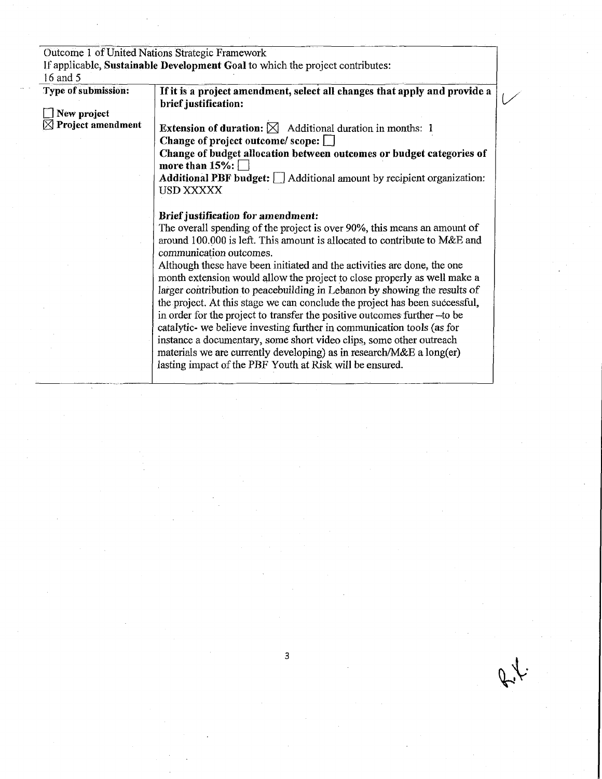|                               | Outcome 1 of United Nations Strategic Framework                                                                                                                                  |  |
|-------------------------------|----------------------------------------------------------------------------------------------------------------------------------------------------------------------------------|--|
|                               | If applicable, Sustainable Development Goal to which the project contributes:                                                                                                    |  |
| 16 and 5                      |                                                                                                                                                                                  |  |
| Type of submission:           | If it is a project amendment, select all changes that apply and provide a<br>brief justification:                                                                                |  |
| $\Box$ New project            |                                                                                                                                                                                  |  |
| $\boxtimes$ Project amendment | <b>Extension of duration:</b> $\boxtimes$ Additional duration in months: 1                                                                                                       |  |
|                               | Change of project outcome/ scope: $\Box$                                                                                                                                         |  |
|                               | Change of budget allocation between outcomes or budget categories of<br>more than $15\%$ :                                                                                       |  |
|                               | Additional PBF budget:   Additional amount by recipient organization:                                                                                                            |  |
|                               | USD XXXXX                                                                                                                                                                        |  |
|                               | Brief justification for amendment:                                                                                                                                               |  |
|                               | The overall spending of the project is over 90%, this means an amount of<br>around 100,000 is left. This amount is allocated to contribute to M&E and<br>communication outcomes. |  |
|                               | Although these have been initiated and the activities are done, the one<br>month extension would allow the project to close properly as well make a                              |  |
|                               | larger contribution to peacebuilding in Lebanon by showing the results of                                                                                                        |  |
|                               | the project. At this stage we can conclude the project has been successful,                                                                                                      |  |
|                               | in order for the project to transfer the positive outcomes further -to be                                                                                                        |  |
|                               | catalytic- we believe investing further in communication tools (as for                                                                                                           |  |
|                               | instance a documentary, some short video clips, some other outreach                                                                                                              |  |
|                               | materials we are currently developing) as in research/M&E a long(er)                                                                                                             |  |
|                               | lasting impact of the PBF Youth at Risk will be ensured.                                                                                                                         |  |

 $f_{\downarrow}$